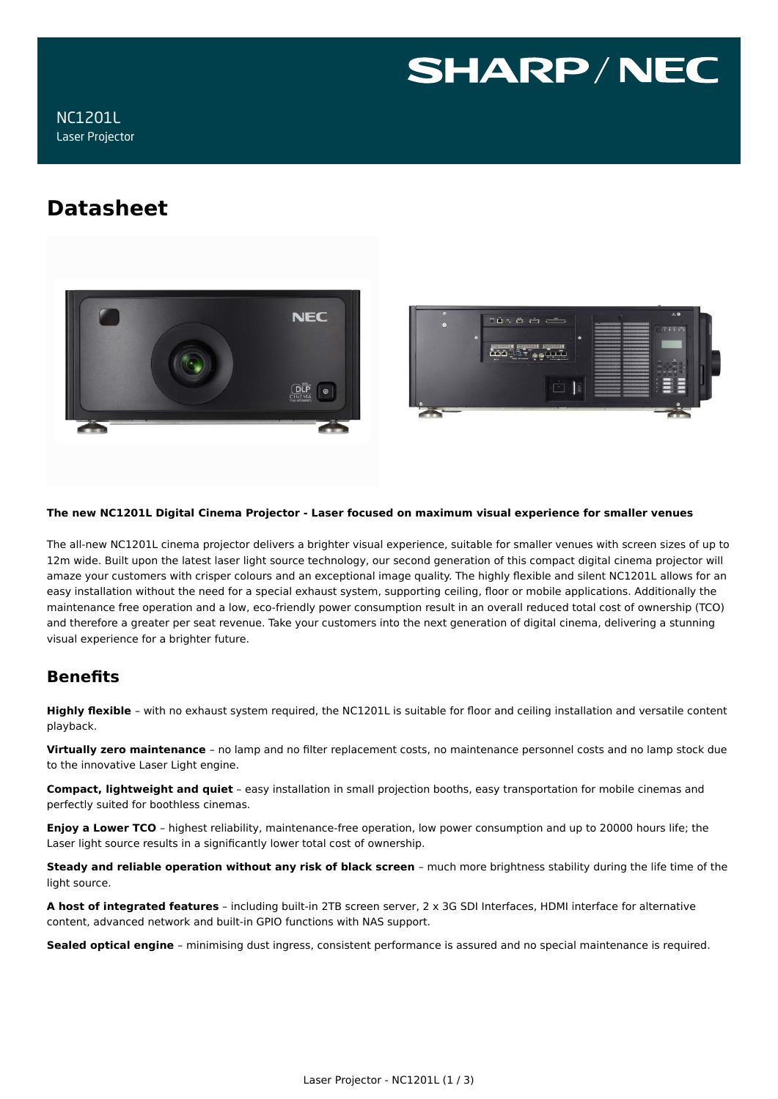

# **Datasheet**





#### **The new NC1201L Digital Cinema Projector - Laser focused on maximum visual experience for smaller venues**

The all-new NC1201L cinema projector delivers a brighter visual experience, suitable for smaller venues with screen sizes of up to 12m wide. Built upon the latest laser light source technology, our second generation of this compact digital cinema projector will amaze your customers with crisper colours and an exceptional image quality. The highly flexible and silent NC1201L allows for an easy installation without the need for a special exhaust system, supporting ceiling, floor or mobile applications. Additionally the maintenance free operation and a low, eco-friendly power consumption result in an overall reduced total cost of ownership (TCO) and therefore a greater per seat revenue. Take your customers into the next generation of digital cinema, delivering a stunning visual experience for a brighter future.

## **Benefits**

**Highly flexible** – with no exhaust system required, the NC1201L is suitable for floor and ceiling installation and versatile content playback.

**Virtually zero maintenance** – no lamp and no filter replacement costs, no maintenance personnel costs and no lamp stock due to the innovative Laser Light engine.

**Compact, lightweight and quiet** – easy installation in small projection booths, easy transportation for mobile cinemas and perfectly suited for boothless cinemas.

**Enjoy a Lower TCO** – highest reliability, maintenance-free operation, low power consumption and up to 20000 hours life; the Laser light source results in a significantly lower total cost of ownership.

**Steady and reliable operation without any risk of black screen** – much more brightness stability during the life time of the light source.

**A host of integrated features** – including built-in 2TB screen server, 2 x 3G SDI Interfaces, HDMI interface for alternative content, advanced network and built-in GPIO functions with NAS support.

**Sealed optical engine** – minimising dust ingress, consistent performance is assured and no special maintenance is required.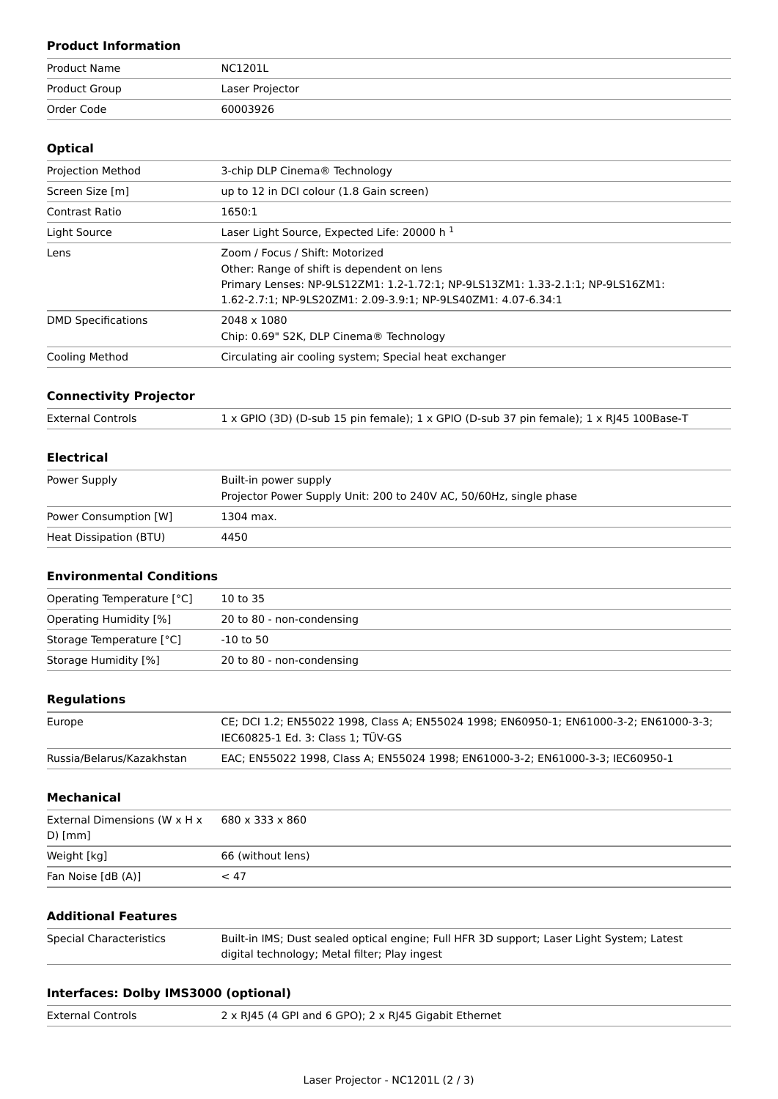## **Product Information**

| Product Name  | NC1201L         |
|---------------|-----------------|
| Product Group | Laser Projector |
| Order Code    | 60003926        |

#### **Optical**

| <b>Projection Method</b>  | 3-chip DLP Cinema® Technology                                                                                                                                                                                                    |
|---------------------------|----------------------------------------------------------------------------------------------------------------------------------------------------------------------------------------------------------------------------------|
| Screen Size [m]           | up to 12 in DCI colour (1.8 Gain screen)                                                                                                                                                                                         |
| Contrast Ratio            | 1650:1                                                                                                                                                                                                                           |
| Light Source              | Laser Light Source, Expected Life: 20000 h $1$                                                                                                                                                                                   |
| Lens                      | Zoom / Focus / Shift: Motorized<br>Other: Range of shift is dependent on lens<br>Primary Lenses: NP-9LS12ZM1: 1.2-1.72:1; NP-9LS13ZM1: 1.33-2.1:1; NP-9LS16ZM1:<br>1.62-2.7:1; NP-9LS20ZM1: 2.09-3.9:1; NP-9LS40ZM1: 4.07-6.34:1 |
| <b>DMD Specifications</b> | 2048 x 1080<br>Chip: 0.69" S2K, DLP Cinema <sup>®</sup> Technology                                                                                                                                                               |
| <b>Cooling Method</b>     | Circulating air cooling system; Special heat exchanger                                                                                                                                                                           |

### **Connectivity Projector**

| <b>External Controls</b> | 1 x GPIO (3D) (D-sub 15 pin female); 1 x GPIO (D-sub 37 pin female); 1 x RJ45 100Base-T |
|--------------------------|-----------------------------------------------------------------------------------------|
|                          |                                                                                         |

#### **Electrical**

| Power Supply           | Built-in power supply<br>Projector Power Supply Unit: 200 to 240V AC, 50/60Hz, single phase |
|------------------------|---------------------------------------------------------------------------------------------|
| Power Consumption [W]  | 1304 max.                                                                                   |
| Heat Dissipation (BTU) | 4450                                                                                        |

#### **Environmental Conditions**

| Operating Temperature [°C] | 10 to 35                  |
|----------------------------|---------------------------|
| Operating Humidity [%]     | 20 to 80 - non-condensing |
| Storage Temperature [°C]   | $-10$ to 50               |
| Storage Humidity [%]       | 20 to 80 - non-condensing |

#### **Regulations**

| Europe                    | CE; DCI 1.2; EN55022 1998, Class A; EN55024 1998; EN60950-1; EN61000-3-2; EN61000-3-3;<br>IEC60825-1 Ed. 3: Class 1: TÜV-GS |
|---------------------------|-----------------------------------------------------------------------------------------------------------------------------|
| Russia/Belarus/Kazakhstan | EAC; EN55022 1998, Class A; EN55024 1998; EN61000-3-2; EN61000-3-3; IEC60950-1                                              |
|                           |                                                                                                                             |

#### **Mechanical**

| External Dimensions (W x H x | 680 x 333 x 860   |
|------------------------------|-------------------|
| $D)$ [mm]                    |                   |
| Weight [kg]                  | 66 (without lens) |
| Fan Noise [dB (A)]           | ~< 47             |

## **Additional Features**

| Special Characteristics | Built-in IMS; Dust sealed optical engine; Full HFR 3D support; Laser Light System; Latest |
|-------------------------|-------------------------------------------------------------------------------------------|
|                         | digital technology; Metal filter; Play ingest                                             |

## **Interfaces: Dolby IMS3000 (optional)**

| <b>External Controls</b> | 2 x RJ45 (4 GPI and 6 GPO); 2 x RJ45 Gigabit Ethernet |
|--------------------------|-------------------------------------------------------|
|--------------------------|-------------------------------------------------------|